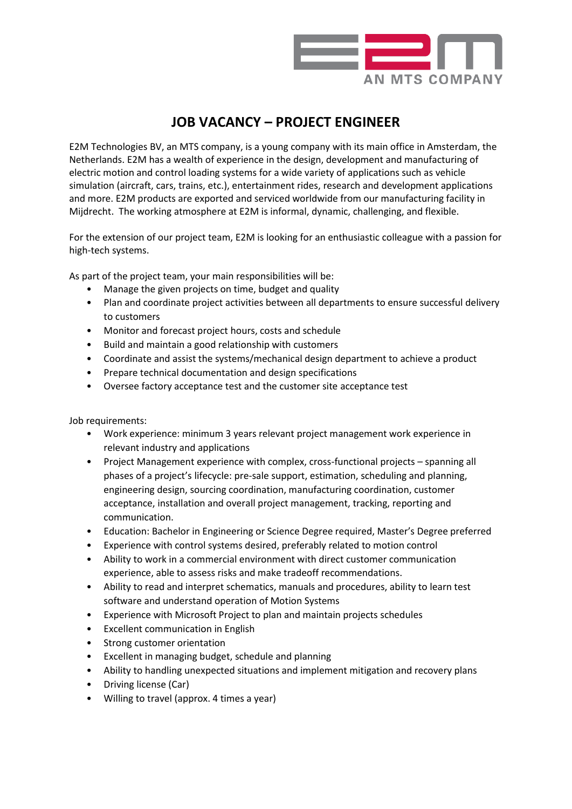

## **JOB VACANCY – PROJECT ENGINEER**

E2M Technologies BV, an MTS company, is a young company with its main office in Amsterdam, the Netherlands. E2M has a wealth of experience in the design, development and manufacturing of electric motion and control loading systems for a wide variety of applications such as vehicle simulation (aircraft, cars, trains, etc.), entertainment rides, research and development applications and more. E2M products are exported and serviced worldwide from our manufacturing facility in Mijdrecht. The working atmosphere at E2M is informal, dynamic, challenging, and flexible.

For the extension of our project team, E2M is looking for an enthusiastic colleague with a passion for high-tech systems.

As part of the project team, your main responsibilities will be:

- Manage the given projects on time, budget and quality
- Plan and coordinate project activities between all departments to ensure successful delivery to customers
- Monitor and forecast project hours, costs and schedule
- Build and maintain a good relationship with customers
- Coordinate and assist the systems/mechanical design department to achieve a product
- Prepare technical documentation and design specifications
- Oversee factory acceptance test and the customer site acceptance test

Job requirements:

- Work experience: minimum 3 years relevant project management work experience in relevant industry and applications
- Project Management experience with complex, cross-functional projects spanning all phases of a project's lifecycle: pre-sale support, estimation, scheduling and planning, engineering design, sourcing coordination, manufacturing coordination, customer acceptance, installation and overall project management, tracking, reporting and communication.
- Education: Bachelor in Engineering or Science Degree required, Master's Degree preferred
- Experience with control systems desired, preferably related to motion control
- Ability to work in a commercial environment with direct customer communication experience, able to assess risks and make tradeoff recommendations.
- Ability to read and interpret schematics, manuals and procedures, ability to learn test software and understand operation of Motion Systems
- Experience with Microsoft Project to plan and maintain projects schedules
- Excellent communication in English
- Strong customer orientation
- Excellent in managing budget, schedule and planning
- Ability to handling unexpected situations and implement mitigation and recovery plans
- Driving license (Car)
- Willing to travel (approx. 4 times a year)